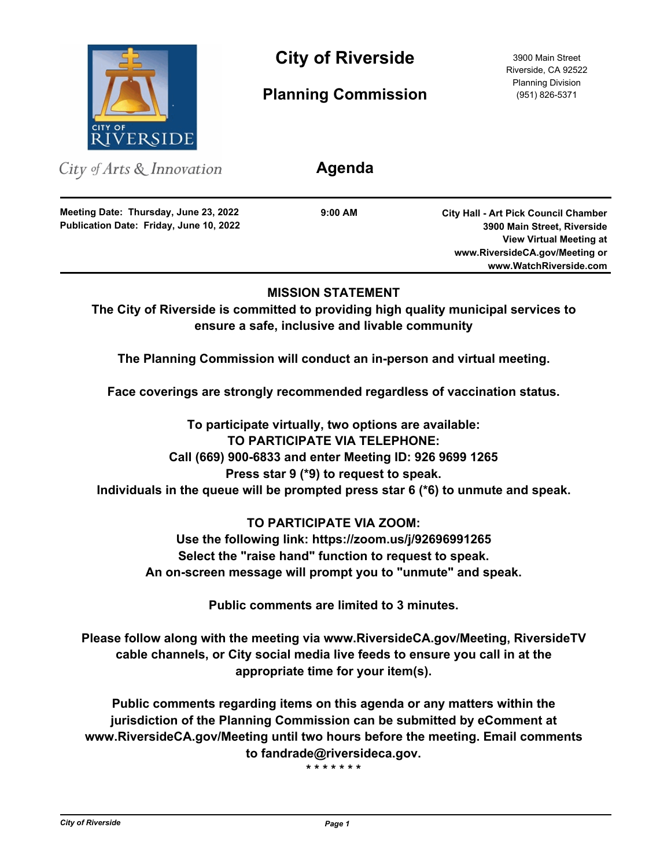

**City of Riverside** 3900 Main Street

**Planning Commission**

Riverside, CA 92522 Planning Division (951) 826-5371

City of Arts & Innovation

**Publication Date: Friday, June 10, 2022 Meeting Date: Thursday, June 23, 2022**

**9:00 AM**

**Agenda**

**City Hall - Art Pick Council Chamber 3900 Main Street, Riverside View Virtual Meeting at www.RiversideCA.gov/Meeting or www.WatchRiverside.com**

# **MISSION STATEMENT**

**The City of Riverside is committed to providing high quality municipal services to ensure a safe, inclusive and livable community**

**The Planning Commission will conduct an in-person and virtual meeting.** 

**Face coverings are strongly recommended regardless of vaccination status.**

**To participate virtually, two options are available: TO PARTICIPATE VIA TELEPHONE: Call (669) 900-6833 and enter Meeting ID: 926 9699 1265 Press star 9 (\*9) to request to speak. Individuals in the queue will be prompted press star 6 (\*6) to unmute and speak.**

# **TO PARTICIPATE VIA ZOOM:**

**Use the following link: https://zoom.us/j/92696991265 Select the "raise hand" function to request to speak. An on-screen message will prompt you to "unmute" and speak.**

**Public comments are limited to 3 minutes.**

**Please follow along with the meeting via www.RiversideCA.gov/Meeting, RiversideTV cable channels, or City social media live feeds to ensure you call in at the appropriate time for your item(s).**

**Public comments regarding items on this agenda or any matters within the jurisdiction of the Planning Commission can be submitted by eComment at www.RiversideCA.gov/Meeting until two hours before the meeting. Email comments to fandrade@riversideca.gov.**

**\* \* \* \* \* \* \***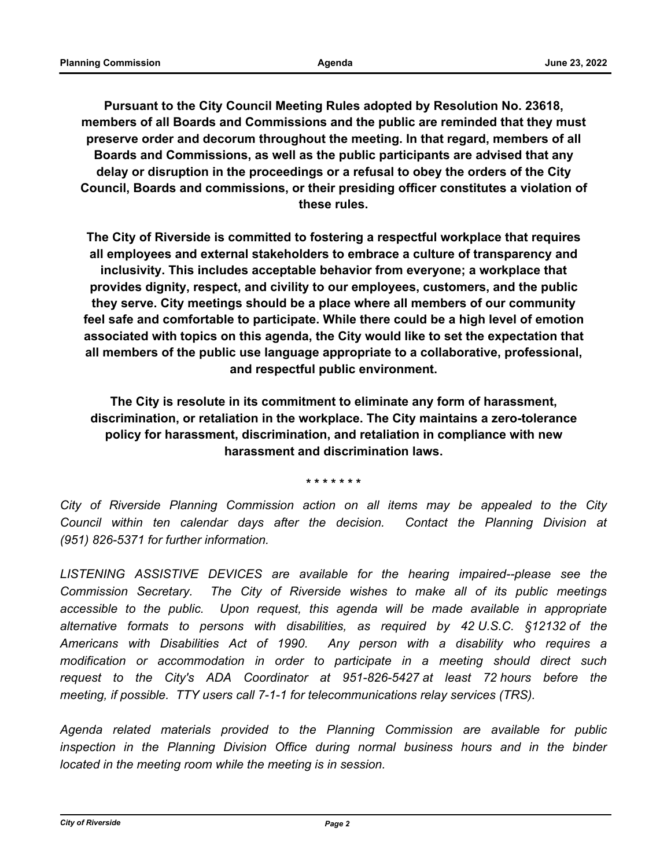**Pursuant to the City Council Meeting Rules adopted by Resolution No. 23618, members of all Boards and Commissions and the public are reminded that they must preserve order and decorum throughout the meeting. In that regard, members of all Boards and Commissions, as well as the public participants are advised that any delay or disruption in the proceedings or a refusal to obey the orders of the City Council, Boards and commissions, or their presiding officer constitutes a violation of these rules.**

**The City of Riverside is committed to fostering a respectful workplace that requires all employees and external stakeholders to embrace a culture of transparency and inclusivity. This includes acceptable behavior from everyone; a workplace that provides dignity, respect, and civility to our employees, customers, and the public they serve. City meetings should be a place where all members of our community feel safe and comfortable to participate. While there could be a high level of emotion associated with topics on this agenda, the City would like to set the expectation that all members of the public use language appropriate to a collaborative, professional, and respectful public environment.**

**The City is resolute in its commitment to eliminate any form of harassment, discrimination, or retaliation in the workplace. The City maintains a zero-tolerance policy for harassment, discrimination, and retaliation in compliance with new harassment and discrimination laws.**

**\* \* \* \* \* \* \***

*City of Riverside Planning Commission action on all items may be appealed to the City Council within ten calendar days after the decision. Contact the Planning Division at (951) 826-5371 for further information.*

*LISTENING ASSISTIVE DEVICES are available for the hearing impaired--please see the Commission Secretary. The City of Riverside wishes to make all of its public meetings accessible to the public. Upon request, this agenda will be made available in appropriate alternative formats to persons with disabilities, as required by 42 U.S.C. §12132 of the Americans with Disabilities Act of 1990. Any person with a disability who requires a modification or accommodation in order to participate in a meeting should direct such request to the City's ADA Coordinator at 951-826-5427 at least 72 hours before the meeting, if possible. TTY users call 7-1-1 for telecommunications relay services (TRS).*

*Agenda related materials provided to the Planning Commission are available for public*  inspection in the Planning Division Office during normal business hours and in the binder *located in the meeting room while the meeting is in session.*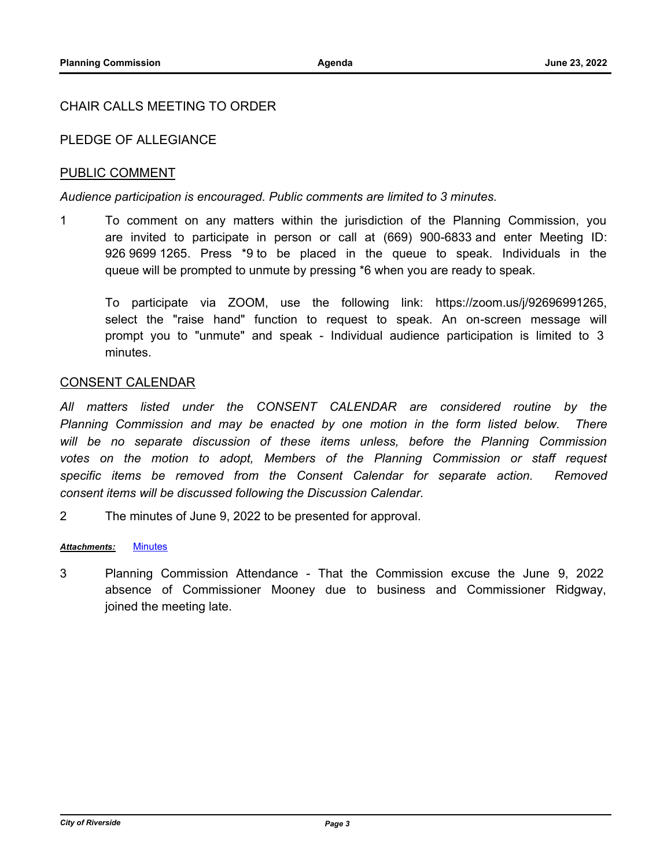# CHAIR CALLS MEETING TO ORDER

# PLEDGE OF ALLEGIANCE

# PUBLIC COMMENT

### *Audience participation is encouraged. Public comments are limited to 3 minutes.*

1 To comment on any matters within the jurisdiction of the Planning Commission, you are invited to participate in person or call at (669) 900-6833 and enter Meeting ID: 926 9699 1265. Press \*9 to be placed in the queue to speak. Individuals in the queue will be prompted to unmute by pressing \*6 when you are ready to speak.

To participate via ZOOM, use the following link: https://zoom.us/j/92696991265, select the "raise hand" function to request to speak. An on-screen message will prompt you to "unmute" and speak - Individual audience participation is limited to 3 minutes.

## CONSENT CALENDAR

*All matters listed under the CONSENT CALENDAR are considered routine by the Planning Commission and may be enacted by one motion in the form listed below. There will be no separate discussion of these items unless, before the Planning Commission votes on the motion to adopt, Members of the Planning Commission or staff request*  specific items be removed from the Consent Calendar for separate action. Removed *consent items will be discussed following the Discussion Calendar.*

2 The minutes of June 9, 2022 to be presented for approval.

#### *Attachments:* [Minutes](http://riversideca.legistar.com/gateway.aspx?M=F&ID=446316e1-f553-4576-a625-1eda782022c2.pdf)

3 Planning Commission Attendance - That the Commission excuse the June 9, 2022 absence of Commissioner Mooney due to business and Commissioner Ridgway, joined the meeting late.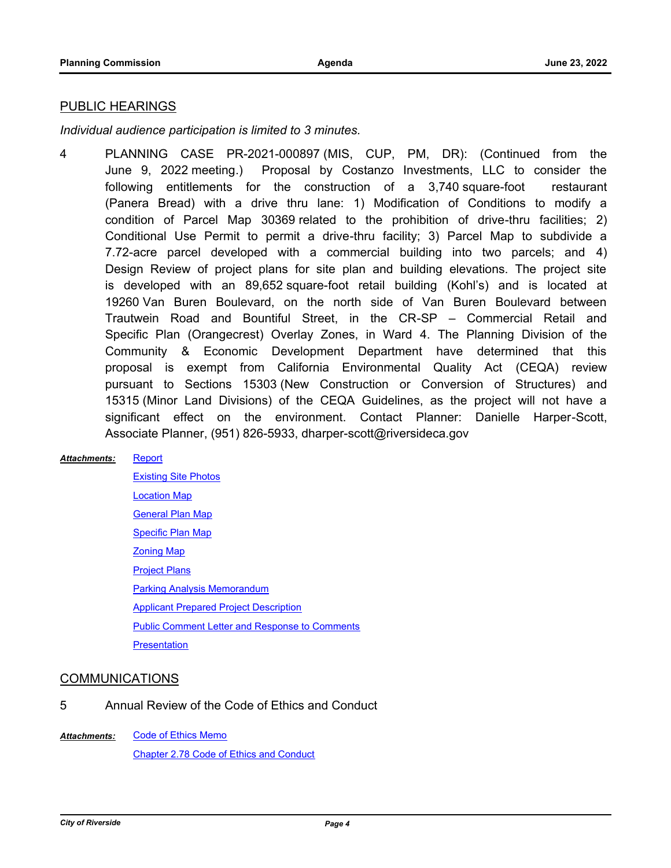### PUBLIC HEARINGS

*Individual audience participation is limited to 3 minutes.*

4 PLANNING CASE PR-2021-000897 (MIS, CUP, PM, DR): (Continued from the June 9, 2022 meeting.) Proposal by Costanzo Investments, LLC to consider the following entitlements for the construction of a 3,740 square-foot restaurant (Panera Bread) with a drive thru lane: 1) Modification of Conditions to modify a condition of Parcel Map 30369 related to the prohibition of drive-thru facilities; 2) Conditional Use Permit to permit a drive-thru facility; 3) Parcel Map to subdivide a 7.72-acre parcel developed with a commercial building into two parcels; and 4) Design Review of project plans for site plan and building elevations. The project site is developed with an 89,652 square-foot retail building (Kohl's) and is located at 19260 Van Buren Boulevard, on the north side of Van Buren Boulevard between Trautwein Road and Bountiful Street, in the CR-SP – Commercial Retail and Specific Plan (Orangecrest) Overlay Zones, in Ward 4. The Planning Division of the Community & Economic Development Department have determined that this proposal is exempt from California Environmental Quality Act (CEQA) review pursuant to Sections 15303 (New Construction or Conversion of Structures) and 15315 (Minor Land Divisions) of the CEQA Guidelines, as the project will not have a significant effect on the environment. Contact Planner: Danielle Harper-Scott, Associate Planner, (951) 826-5933, dharper-scott@riversideca.gov

#### **[Report](http://riversideca.legistar.com/gateway.aspx?M=F&ID=d43a668b-91ee-47e0-973f-1798ed370abf.pdf)** *Attachments:*

[Existing Site Photos](http://riversideca.legistar.com/gateway.aspx?M=F&ID=8ca1e1f0-fdf7-4f75-920e-609c65cbbf24.pdf) [Location Map](http://riversideca.legistar.com/gateway.aspx?M=F&ID=ec718c23-506b-4379-aba6-707c12c5b5f8.pdf) [General Plan Map](http://riversideca.legistar.com/gateway.aspx?M=F&ID=1ceb87c8-d6b3-4731-82fa-502728edcb0c.pdf) [Specific Plan Map](http://riversideca.legistar.com/gateway.aspx?M=F&ID=17939b2e-c6f1-4e4b-8eb0-135f44b022f9.pdf) [Zoning Map](http://riversideca.legistar.com/gateway.aspx?M=F&ID=40f1952b-d959-48e6-8358-0353e93b2337.pdf) [Project Plans](http://riversideca.legistar.com/gateway.aspx?M=F&ID=fb366b94-6236-4418-9979-f16bb35ad039.pdf) [Parking Analysis Memorandum](http://riversideca.legistar.com/gateway.aspx?M=F&ID=985269b0-8aa0-45bb-a591-f02e830deb46.pdf) [Applicant Prepared Project Description](http://riversideca.legistar.com/gateway.aspx?M=F&ID=6ca15705-fbd1-409e-8da3-811681f81060.pdf) [Public Comment Letter and Response to Comments](http://riversideca.legistar.com/gateway.aspx?M=F&ID=c3617301-2ea4-49d1-ab0e-965ba6b33d46.pdf) **[Presentation](http://riversideca.legistar.com/gateway.aspx?M=F&ID=390e4f2d-ab93-4064-9791-5780c3d47385.pdf)** 

#### COMMUNICATIONS

5 Annual Review of the Code of Ethics and Conduct

[Code of Ethics Memo](http://riversideca.legistar.com/gateway.aspx?M=F&ID=c681e482-96d1-4817-9882-849bddc2a7fc.pdf) [Chapter 2.78 Code of Ethics and Conduct](http://riversideca.legistar.com/gateway.aspx?M=F&ID=a532bd22-a87c-4c7f-8f26-edbe1005ab37.pdf) *Attachments:*